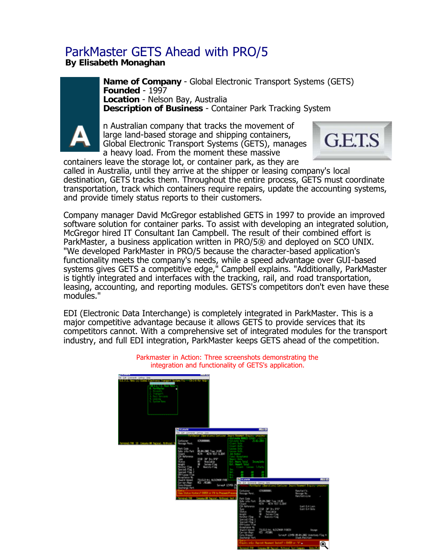## ParkMaster GETS Ahead with PRO/5

**By Elisabeth Monaghan**

**Name of Company** - Global Electronic Transport Systems (GETS) **Founded** - 1997 **Location** - Nelson Bay, Australia **Description of Business** - Container Park Tracking System

n Australian company that tracks the movement of large land-based storage and shipping containers, Global Electronic Transport Systems (GETS), manages a heavy load. From the moment these massive



containers leave the storage lot, or container park, as they are called in Australia, until they arrive at the shipper or leasing company's local destination, GETS tracks them. Throughout the entire process, GETS must coordinate transportation, track which containers require repairs, update the accounting systems, and provide timely status reports to their customers.

Company manager David McGregor established GETS in 1997 to provide an improved software solution for container parks. To assist with developing an integrated solution, McGregor hired IT Consultant Ian Campbell. The result of their combined effort is ParkMaster, a business application written in PRO/5® and deployed on SCO UNIX. "We developed ParkMaster in PRO/5 because the character-based application's functionality meets the company's needs, while a speed advantage over GUI-based systems gives GETS a competitive edge," Campbell explains. "Additionally, ParkMaster is tightly integrated and interfaces with the tracking, rail, and road transportation, leasing, accounting, and reporting modules. GETS's competitors don't even have these modules."

EDI (Electronic Data Interchange) is completely integrated in ParkMaster. This is a major competitive advantage because it allows GETS to provide services that its competitors cannot. With a comprehensive set of integrated modules for the transport industry, and full EDI integration, ParkMaster keeps GETS ahead of the competition.



Parkmaster in Action: Three screenshots demonstrating the integration and functionality of GETS's application.